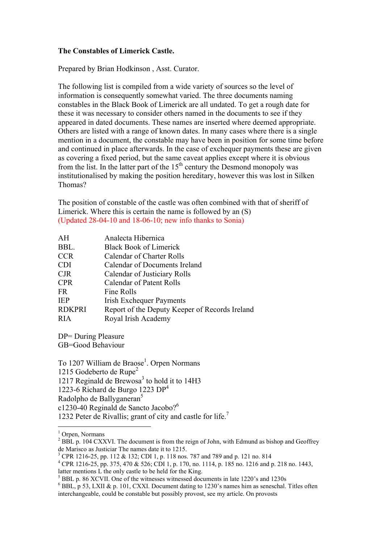## **The Constables of Limerick Castle.**

Prepared by Brian Hodkinson , Asst. Curator.

The following list is compiled from a wide variety of sources so the level of information is consequently somewhat varied. The three documents naming constables in the Black Book of Limerick are all undated. To get a rough date for these it was necessary to consider others named in the documents to see if they appeared in dated documents. These names are inserted where deemed appropriate. Others are listed with a range of known dates. In many cases where there is a single mention in a document, the constable may have been in position for some time before and continued in place afterwards. In the case of exchequer payments these are given as covering a fixed period, but the same caveat applies except where it is obvious from the list. In the latter part of the  $15<sup>th</sup>$  century the Desmond monopoly was institutionalised by making the position hereditary, however this was lost in Silken Thomas?

The position of constable of the castle was often combined with that of sheriff of Limerick. Where this is certain the name is followed by an (S) (Updated 28-04-10 and 18-06-10; new info thanks to Sonia)

| AH            | Analecta Hibernica                             |
|---------------|------------------------------------------------|
| BBL.          | <b>Black Book of Limerick</b>                  |
| <b>CCR</b>    | Calendar of Charter Rolls                      |
| <b>CDI</b>    | Calendar of Documents Ireland                  |
| <b>CJR</b>    | Calendar of Justiciary Rolls                   |
| <b>CPR</b>    | Calendar of Patent Rolls                       |
| FR.           | Fine Rolls                                     |
| <b>IEP</b>    | <b>Irish Exchequer Payments</b>                |
| <b>RDKPRI</b> | Report of the Deputy Keeper of Records Ireland |
| RIA           | Royal Irish Academy                            |

DP= During Pleasure

GB=Good Behaviour

To 1207 William de Braose<sup>1</sup>. Orpen Normans 1215 Godeberto de Rupe<sup>2</sup> 1217 Reginald de Brewosa<sup>3</sup> to hold it to 14H3 1223-6 Richard de Burgo 1223  $DP<sup>4</sup>$ Radolpho de Ballyganeran<sup>5</sup> c1230-40 Reginald de Sancto Jacobo?<sup>6</sup> 1232 Peter de Rivallis; grant of city and castle for life.<sup>7</sup>

<u>.</u>

<sup>&</sup>lt;sup>1</sup> Orpen, Normans

 $^{2}$  BBL p. 104 CXXVI. The document is from the reign of John, with Edmund as bishop and Geoffrey de Marisco as Justiciar The names date it to 1215.

<sup>&</sup>lt;sup>3</sup> CPR 1216-25, pp. 112 & 132; CDI 1, p. 118 nos. 787 and 789 and p. 121 no. 814

<sup>4</sup> CPR 1216-25, pp. 375, 470 & 526; CDI 1, p. 170, no. 1114, p. 185 no. 1216 and p. 218 no. 1443, latter mentions L the only castle to be held for the King.

<sup>&</sup>lt;sup>5</sup> BBL p. 86 XCVII. One of the witnesses witnessed documents in late 1220's and 1230s

 $6$  BBL, p 53, LXII & p. 101, CXXI. Document dating to 1230's names him as seneschal. Titles often interchangeable, could be constable but possibly provost, see my article. On provosts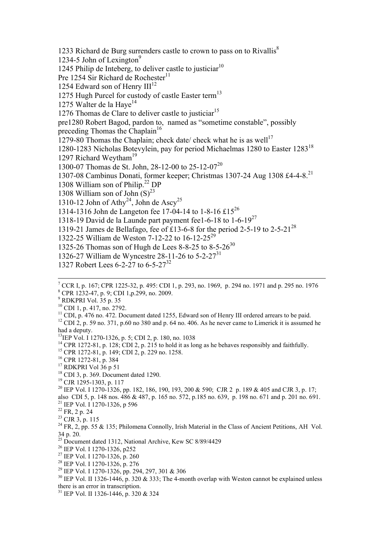1233 Richard de Burg surrenders castle to crown to pass on to Rivallis $^8$ 1234-5 John of Lexington $9$ 1245 Philip de Inteberg, to deliver castle to justiciar<sup>10</sup> Pre 1254 Sir Richard de Rochester<sup>11</sup> 1254 Edward son of Henry  $III<sup>12</sup>$ 1275 Hugh Purcel for custody of castle Easter term<sup>13</sup> 1275 Walter de la Haye<sup>14</sup> 1276 Thomas de Clare to deliver castle to justiciar<sup>15</sup> pre1280 Robert Bagod, pardon to, named as "sometime constable", possibly preceding Thomas the Chaplain<sup>16</sup> 1279-80 Thomas the Chaplain; check date/ check what he is as well<sup>17</sup> 1280-1283 Nicholas Botevylein, pay for period Michaelmas 1280 to Easter 1283<sup>18</sup> 1297 Richard Weytham<sup>19</sup> 1300-07 Thomas de St. John, 28-12-00 to 25-12-0720 1307-08 Cambinus Donati, former keeper; Christmas 1307-24 Aug 1308 £4-4-8.<sup>21</sup> 1308 William son of Philip.<sup>22</sup> DP 1308 William son of John  $(S)^{23}$ 1310-12 John of Athy<sup>24</sup>, John de Ascy<sup>25</sup> 1314-1316 John de Langeton fee 17-04-14 to 1-8-16 £15<sup>26</sup> 1318-19 David de la Launde part payment fee1-6-18 to  $1-6-19^{27}$ 1319-21 James de Bellafago, fee of £13-6-8 for the period 2-5-19 to 2-5-21<sup>28</sup> 1322-25 William de Weston 7-12-22 to 16-12-25<sup>29</sup> 1325-26 Thomas son of Hugh de Lees 8-8-25 to 8-5-26<sup>30</sup> 1326-27 William de Wyncestre 28-11-26 to 5-2-27<sup>31</sup>

9 RDKPRI Vol. 35 p. 35

1

10 CDI 1, p. 417, no. 2792.

15 CPR 1272-81, p. 149; CDI 2, p. 229 no. 1258.

16 CPR 1272-81, p. 384

<sup>17</sup> RDKPRI Vol 36 p 51

 $18$  CDI 3, p. 369. Document dated 1290.

<sup>19</sup> CJR 1295-1303, p. 117

<sup>20</sup> IEP Vol. I 1270-1326, pp. 182, 186, 190, 193, 200 & 590; CJR 2 p. 189 & 405 and CJR 3, p. 17; also CDI 5, p. 148 nos. 486 & 487, p. 165 no. 572, p.185 no. 639, p. 198 no. 671 and p. 201 no. 691. 21 IEP Vol. I 1270-1326, p 596

22 FR, 2 p. 24

<sup>1327</sup> Robert Lees 6-2-27 to 6-5-27<sup>32</sup>

<sup>7</sup> CCR I, p. 167; CPR 1225-32, p. 495: CDI 1, p. 293, no. 1969, p. 294 no. 1971 and p. 295 no. 1976 8 CPR 1232-47, p. 9; CDI 1,p.299, no. 2009.

 $11$  CDI, p. 476 no. 472. Document dated 1255, Edward son of Henry III ordered arrears to be paid.

 $12$  CDI 2, p. 59 no. 371, p.60 no 380 and p. 64 no. 406. As he never came to Limerick it is assumed he had a deputy.

<sup>&</sup>lt;sup>13</sup>IEP Vol. I 1270-1326, p. 5; CDI 2, p. 180, no. 1038

<sup>&</sup>lt;sup>14</sup> CPR 1272-81, p. 128; CDI 2, p. 215 to hold it as long as he behaves responsibly and faithfully.

 $23$  CJR 3, p. 115

 $^{24}$  FR, 2, pp. 55 & 135; Philomena Connolly, Irish Material in the Class of Ancient Petitions, AH Vol. 34 p. 20.

 $25$  Document dated 1312, National Archive, Kew SC 8/89/4429

<sup>26</sup> IEP Vol. I 1270-1326, p252

<sup>27</sup> IEP Vol. I 1270-1326, p. 260

<sup>28</sup> IEP Vol. I 1270-1326, p. 276

<sup>29</sup> IEP Vol. I 1270-1326, pp. 294, 297, 301 & 306

 $30$  IEP Vol. II 1326-1446, p. 320 & 333; The 4-month overlap with Weston cannot be explained unless there is an error in transcription.

<sup>31</sup> IEP Vol. II 1326-1446, p. 320 & 324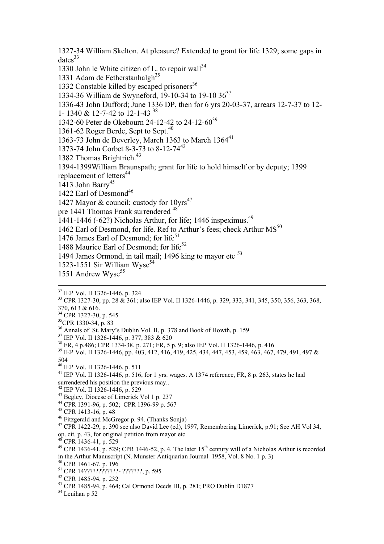1327-34 William Skelton. At pleasure? Extended to grant for life 1329; some gaps in  $dates<sup>33</sup>$ 

1330 John le White citizen of L. to repair wall<sup>34</sup>

1331 Adam de Fetherstanhalgh<sup>35</sup>

1332 Constable killed by escaped prisoners $36$ 

1334-36 William de Swyneford, 19-10-34 to 19-10  $36^{37}$ 

1336-43 John Dufford; June 1336 DP, then for 6 yrs 20-03-37, arrears 12-7-37 to 12-

1- 1340 & 12-7-42 to 12-1-43 38

1342-60 Peter de Okebourn 24-12-42 to 24-12-60<sup>39</sup>

1361-62 Roger Berde, Sept to Sept.<sup>40</sup>

1363-73 John de Beverley, March 1363 to March 1364<sup>41</sup>

1373-74 John Corbet 8-3-73 to 8-12-74<sup>42</sup>

1382 Thomas Brightrich.<sup>43</sup>

1394-1399William Braunspath; grant for life to hold himself or by deputy; 1399 replacement of letters<sup>44</sup>

1413 John Barry<sup>45</sup>

1422 Earl of Desmond<sup>46</sup>

1427 Mayor & council; custody for  $10\text{vrs}^{47}$ 

pre 1441 Thomas Frank surrendered <sup>48</sup>

1441-1446 (-62?) Nicholas Arthur, for life; 1446 inspeximus.<sup>49</sup>

1462 Earl of Desmond, for life. Ref to Arthur's fees; check Arthur MS<sup>50</sup>

1476 James Earl of Desmond; for life<sup>51</sup>

1488 Maurice Earl of Desmond: for life<sup>52</sup>

1494 James Ormond, in tail mail; 1496 king to mayor etc<sup>53</sup>

1523-1551 Sir William Wyse<sup>54</sup>

1551 Andrew Wyse $55$ 

32 IEP Vol. II 1326-1446, p. 324

33 CPR 1327-30, pp. 28 & 361; also IEP Vol. II 1326-1446, p. 329, 333, 341, 345, 350, 356, 363, 368, 370, 613 & 616.

<sup>34</sup> CPR 1327-30, p. 545

1

 $35$ CPR 1330-34, p. 83

36 Annals of St. Mary's Dublin Vol. II, p. 378 and Book of Howth, p. 159

 $37$  IEP Vol. II 1326-1446, p. 377, 383 & 620

38 FR, 4 p.486; CPR 1334-38, p. 271; FR, 5 p. 9; also IEP Vol. II 1326-1446, p. 416

39 IEP Vol. II 1326-1446, pp. 403, 412, 416, 419, 425, 434, 447, 453, 459, 463, 467, 479, 491, 497 & 504

40 IEP Vol. II 1326-1446, p. 511

<sup>41</sup> IEP Vol. II 1326-1446, p. 516, for 1 yrs. wages. A 1374 reference, FR, 8 p. 263, states he had surrendered his position the previous may...

 $42$  IEP Vol. II 1326-1446, p. 529

43 Begley, Diocese of Limerick Vol 1 p. 237

44 CPR 1391-96, p. 502; CPR 1396-99 p. 567

45 CPR 1413-16, p. 48

46 Fitzgerald and McGregor p. 94. (Thanks Sonja)

<sup>47</sup> CPR 1422-29, p. 390 see also David Lee (ed), 1997, Remembering Limerick, p.91; See AH Vol 34, op. cit. p. 43, for original petition from mayor etc

 $CPR$  1436-41, p. 529

<sup>49</sup> CPR 1436-41, p. 529; CPR 1446-52, p. 4. The later  $15<sup>th</sup>$  century will of a Nicholas Arthur is recorded in the Arthur Manuscript (N. Munster Antiquarian Journal 1958, Vol. 8 No. 1 p. 3)

50 CPR 1461-67, p. 196

51 CPR 14????????????- ???????, p. 595

52 CPR 1485-94, p. 232

53 CPR 1485-94, p. 464; Cal Ormond Deeds III, p. 281; PRO Dublin D1877

 $54$  Lenihan p 52